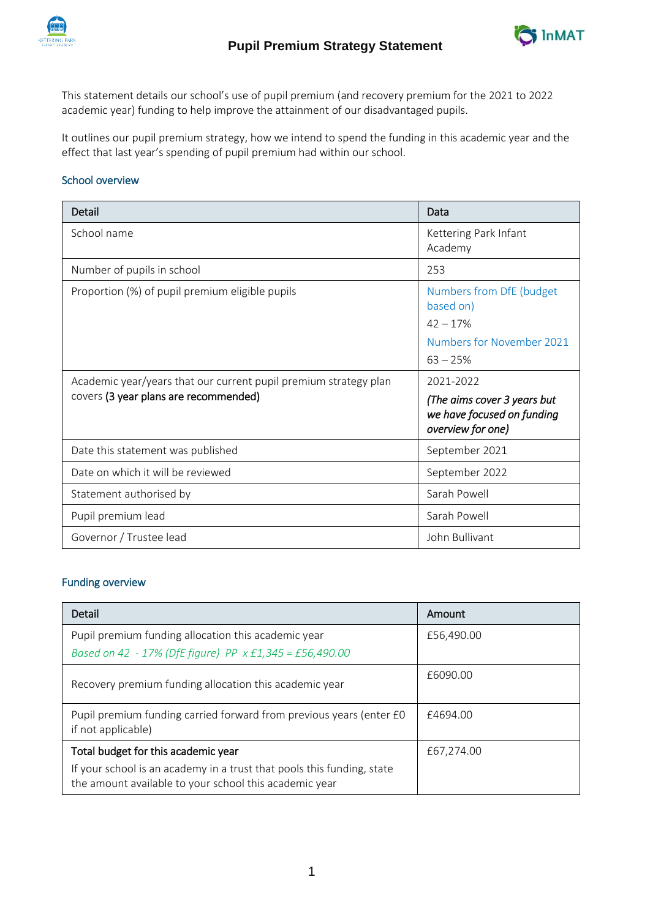



This statement details our school's use of pupil premium (and recovery premium for the 2021 to 2022 academic year) funding to help improve the attainment of our disadvantaged pupils.

It outlines our pupil premium strategy, how we intend to spend the funding in this academic year and the effect that last year's spending of pupil premium had within our school.

## School overview

| Detail                                                                                                    | Data                                                                                           |
|-----------------------------------------------------------------------------------------------------------|------------------------------------------------------------------------------------------------|
| School name                                                                                               | Kettering Park Infant<br>Academy                                                               |
| Number of pupils in school                                                                                | 253                                                                                            |
| Proportion (%) of pupil premium eligible pupils                                                           | Numbers from DfE (budget<br>based on)<br>$42 - 17%$<br>Numbers for November 2021<br>$63 - 25%$ |
| Academic year/years that our current pupil premium strategy plan<br>covers (3 year plans are recommended) | 2021-2022<br>(The aims cover 3 years but<br>we have focused on funding<br>overview for one)    |
| Date this statement was published                                                                         | September 2021                                                                                 |
| Date on which it will be reviewed                                                                         | September 2022                                                                                 |
| Statement authorised by                                                                                   | Sarah Powell                                                                                   |
| Pupil premium lead                                                                                        | Sarah Powell                                                                                   |
| Governor / Trustee lead                                                                                   | John Bullivant                                                                                 |

### Funding overview

| Detail                                                                                                                           | Amount     |
|----------------------------------------------------------------------------------------------------------------------------------|------------|
| Pupil premium funding allocation this academic year                                                                              | £56,490.00 |
| Based on 42 - 17% (DfE figure) PP x £1,345 = £56,490.00                                                                          |            |
| Recovery premium funding allocation this academic year                                                                           | £6090.00   |
| Pupil premium funding carried forward from previous years (enter £0<br>if not applicable)                                        | £4694.00   |
| Total budget for this academic year                                                                                              | £67,274.00 |
| If your school is an academy in a trust that pools this funding, state<br>the amount available to your school this academic year |            |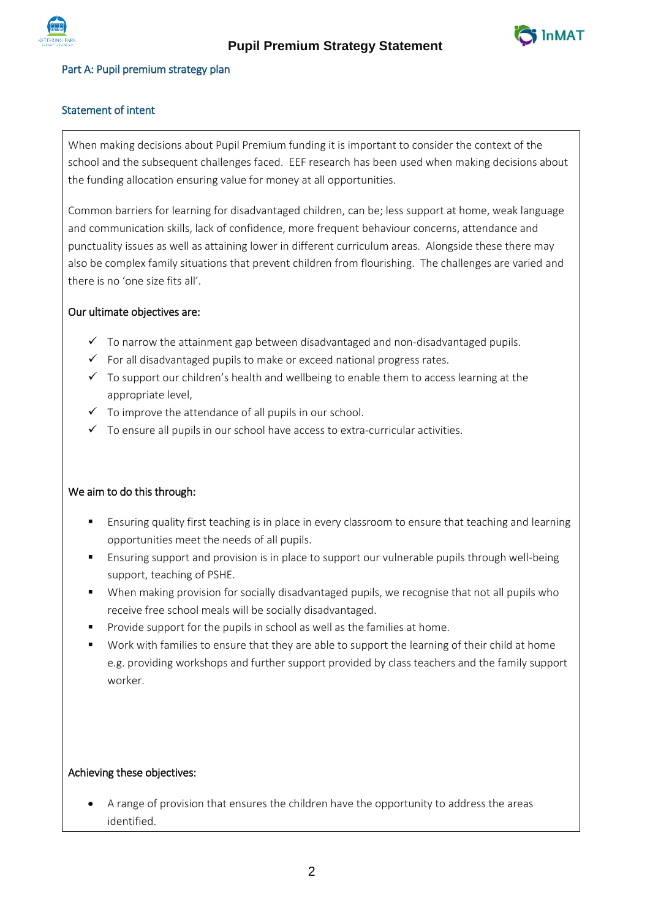



## Part A: Pupil premium strategy plan

# Statement of intent

When making decisions about Pupil Premium funding it is important to consider the context of the school and the subsequent challenges faced. EEF research has been used when making decisions about the funding allocation ensuring value for money at all opportunities.

Common barriers for learning for disadvantaged children, can be; less support at home, weak language and communication skills, lack of confidence, more frequent behaviour concerns, attendance and punctuality issues as well as attaining lower in different curriculum areas. Alongside these there may also be complex family situations that prevent children from flourishing. The challenges are varied and there is no 'one size fits all'.

## Our ultimate objectives are:

- $\checkmark$  To narrow the attainment gap between disadvantaged and non-disadvantaged pupils.
- $\checkmark$  For all disadvantaged pupils to make or exceed national progress rates.
- $\checkmark$  To support our children's health and wellbeing to enable them to access learning at the appropriate level,
- $\checkmark$  To improve the attendance of all pupils in our school.
- $\checkmark$  To ensure all pupils in our school have access to extra-curricular activities.

### We aim to do this through:

- Ensuring quality first teaching is in place in every classroom to ensure that teaching and learning opportunities meet the needs of all pupils.
- Ensuring support and provision is in place to support our vulnerable pupils through well-being support, teaching of PSHE.
- When making provision for socially disadvantaged pupils, we recognise that not all pupils who receive free school meals will be socially disadvantaged.
- Provide support for the pupils in school as well as the families at home.
- Work with families to ensure that they are able to support the learning of their child at home e.g. providing workshops and further support provided by class teachers and the family support worker.

## Achieving these objectives:

 A range of provision that ensures the children have the opportunity to address the areas identified.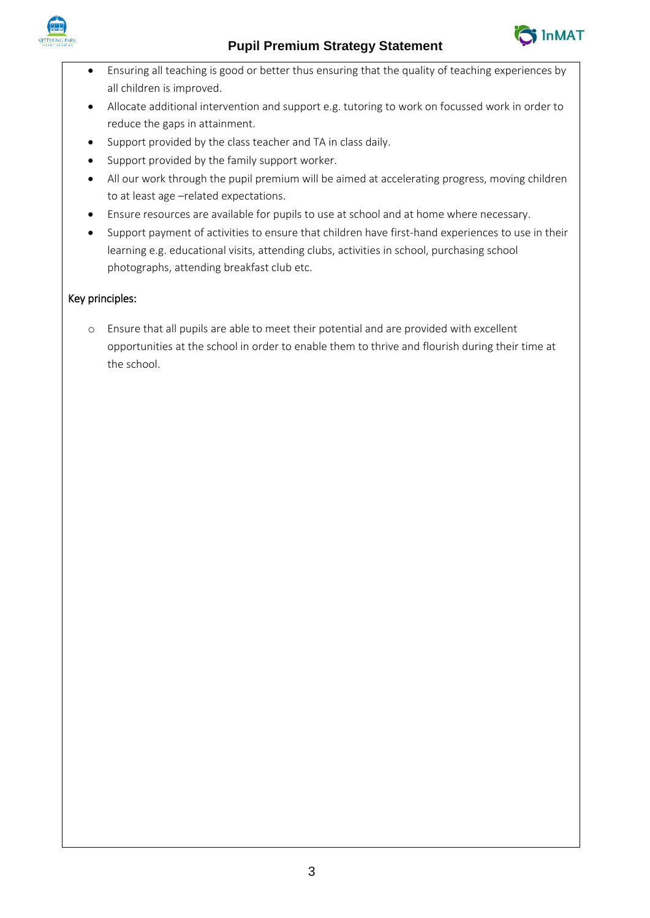



- Ensuring all teaching is good or better thus ensuring that the quality of teaching experiences by all children is improved.
- Allocate additional intervention and support e.g. tutoring to work on focussed work in order to reduce the gaps in attainment.
- Support provided by the class teacher and TA in class daily.
- Support provided by the family support worker.
- All our work through the pupil premium will be aimed at accelerating progress, moving children to at least age –related expectations.
- Ensure resources are available for pupils to use at school and at home where necessary.
- Support payment of activities to ensure that children have first-hand experiences to use in their learning e.g. educational visits, attending clubs, activities in school, purchasing school photographs, attending breakfast club etc.

# Key principles:

o Ensure that all pupils are able to meet their potential and are provided with excellent opportunities at the school in order to enable them to thrive and flourish during their time at the school.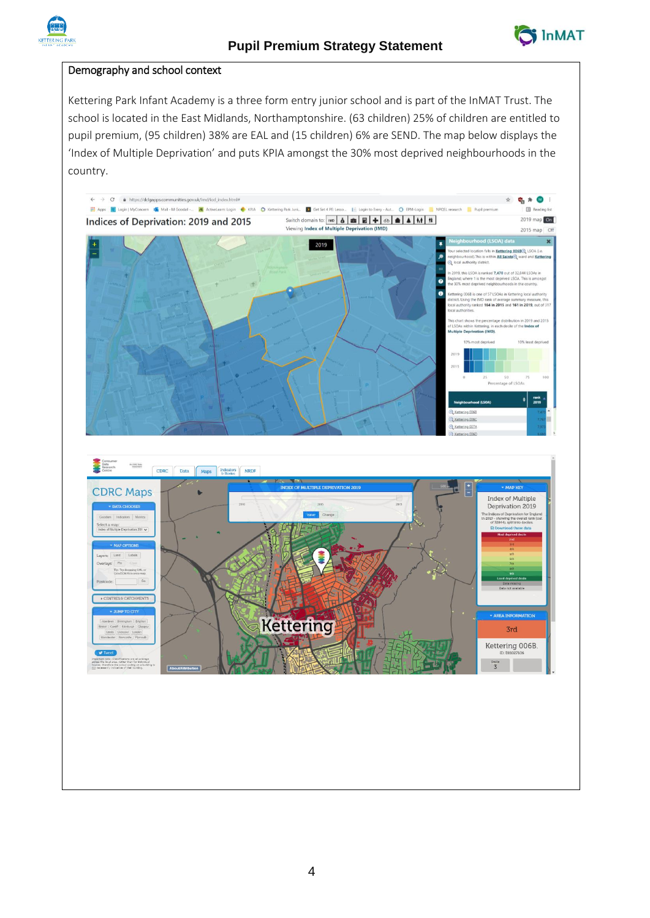

## Demography and school context

Kettering Park Infant Academy is a three form entry junior school and is part of the InMAT Trust. The school is located in the East Midlands, Northamptonshire. (63 children) 25% of children are entitled to pupil premium, (95 children) 38% are EAL and (15 children) 6% are SEND. The map below displays the 'Index of Multiple Deprivation' and puts KPIA amongst the 30% most deprived neighbourhoods in the country.

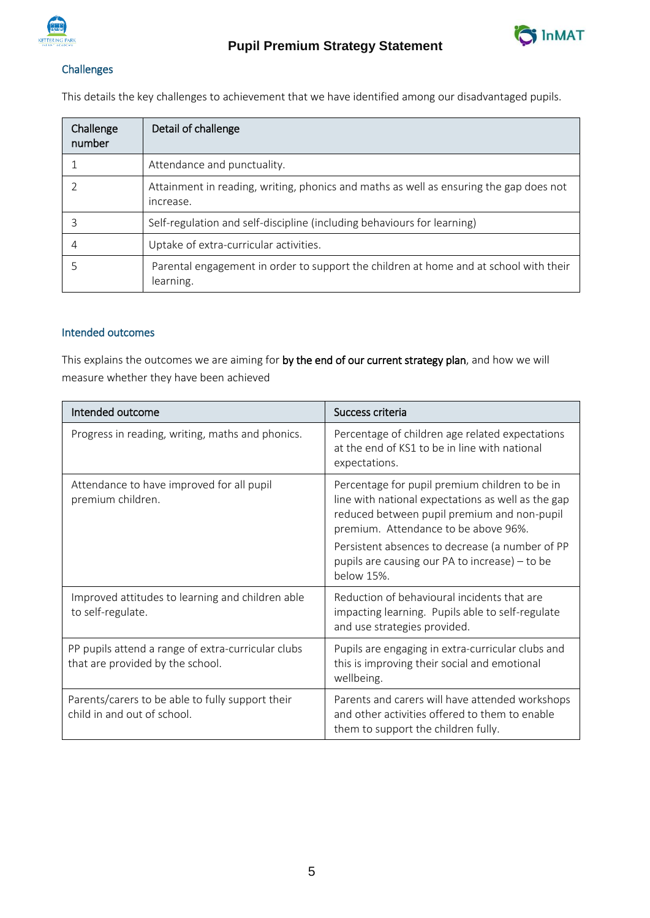



# Challenges

This details the key challenges to achievement that we have identified among our disadvantaged pupils.

| Challenge<br>number | Detail of challenge                                                                                 |
|---------------------|-----------------------------------------------------------------------------------------------------|
|                     | Attendance and punctuality.                                                                         |
|                     | Attainment in reading, writing, phonics and maths as well as ensuring the gap does not<br>increase. |
| 3                   | Self-regulation and self-discipline (including behaviours for learning)                             |
| 4                   | Uptake of extra-curricular activities.                                                              |
|                     | Parental engagement in order to support the children at home and at school with their<br>learning.  |

# Intended outcomes

This explains the outcomes we are aiming for by the end of our current strategy plan, and how we will measure whether they have been achieved

| Intended outcome                                                                       | Success criteria                                                                                                                                                                                                                                                                                 |
|----------------------------------------------------------------------------------------|--------------------------------------------------------------------------------------------------------------------------------------------------------------------------------------------------------------------------------------------------------------------------------------------------|
| Progress in reading, writing, maths and phonics.                                       | Percentage of children age related expectations<br>at the end of KS1 to be in line with national<br>expectations.                                                                                                                                                                                |
| Attendance to have improved for all pupil<br>premium children.                         | Percentage for pupil premium children to be in<br>line with national expectations as well as the gap<br>reduced between pupil premium and non-pupil<br>premium. Attendance to be above 96%.<br>Persistent absences to decrease (a number of PP<br>pupils are causing our PA to increase) – to be |
|                                                                                        | below 15%.                                                                                                                                                                                                                                                                                       |
| Improved attitudes to learning and children able<br>to self-regulate.                  | Reduction of behavioural incidents that are<br>impacting learning. Pupils able to self-regulate<br>and use strategies provided.                                                                                                                                                                  |
| PP pupils attend a range of extra-curricular clubs<br>that are provided by the school. | Pupils are engaging in extra-curricular clubs and<br>this is improving their social and emotional<br>wellbeing.                                                                                                                                                                                  |
| Parents/carers to be able to fully support their<br>child in and out of school.        | Parents and carers will have attended workshops<br>and other activities offered to them to enable<br>them to support the children fully.                                                                                                                                                         |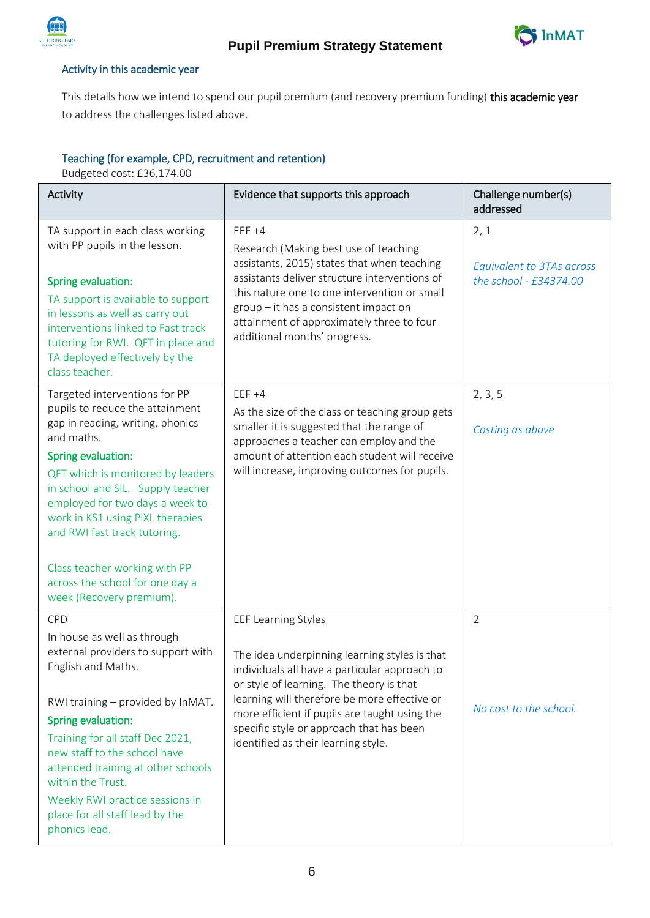



## Activity in this academic year

This details how we intend to spend our pupil premium (and recovery premium funding) this academic year to address the challenges listed above.

# Teaching (for example, CPD, recruitment and retention)

Budgeted cost: £36,174.00

| Activity                                                                                                                                                                                                                                                                                                                                                                                                                  | Evidence that supports this approach                                                                                                                                                                                                                                                                                                                         | Challenge number(s)<br>addressed                            |
|---------------------------------------------------------------------------------------------------------------------------------------------------------------------------------------------------------------------------------------------------------------------------------------------------------------------------------------------------------------------------------------------------------------------------|--------------------------------------------------------------------------------------------------------------------------------------------------------------------------------------------------------------------------------------------------------------------------------------------------------------------------------------------------------------|-------------------------------------------------------------|
| TA support in each class working<br>with PP pupils in the lesson.<br>Spring evaluation:<br>TA support is available to support<br>in lessons as well as carry out<br>interventions linked to Fast track<br>tutoring for RWI. QFT in place and<br>TA deployed effectively by the<br>class teacher.                                                                                                                          | $EEF +4$<br>Research (Making best use of teaching<br>assistants, 2015) states that when teaching<br>assistants deliver structure interventions of<br>this nature one to one intervention or small<br>group - it has a consistent impact on<br>attainment of approximately three to four<br>additional months' progress.                                      | 2, 1<br>Equivalent to 3TAs across<br>the school - £34374.00 |
| Targeted interventions for PP<br>pupils to reduce the attainment<br>gap in reading, writing, phonics<br>and maths.<br>Spring evaluation:<br>QFT which is monitored by leaders<br>in school and SIL. Supply teacher<br>employed for two days a week to<br>work in KS1 using PiXL therapies<br>and RWI fast track tutoring.<br>Class teacher working with PP<br>across the school for one day a<br>week (Recovery premium). | $EEF +4$<br>As the size of the class or teaching group gets<br>smaller it is suggested that the range of<br>approaches a teacher can employ and the<br>amount of attention each student will receive<br>will increase, improving outcomes for pupils.                                                                                                        | 2, 3, 5<br>Costing as above                                 |
| CPD<br>In house as well as through<br>external providers to support with<br>English and Maths.<br>RWI training - provided by InMAT.<br>Spring evaluation:<br>Training for all staff Dec 2021,<br>new staff to the school have<br>attended training at other schools<br>within the Trust.<br>Weekly RWI practice sessions in<br>place for all staff lead by the<br>phonics lead.                                           | <b>EEF Learning Styles</b><br>The idea underpinning learning styles is that<br>individuals all have a particular approach to<br>or style of learning. The theory is that<br>learning will therefore be more effective or<br>more efficient if pupils are taught using the<br>specific style or approach that has been<br>identified as their learning style. | $\overline{2}$<br>No cost to the school.                    |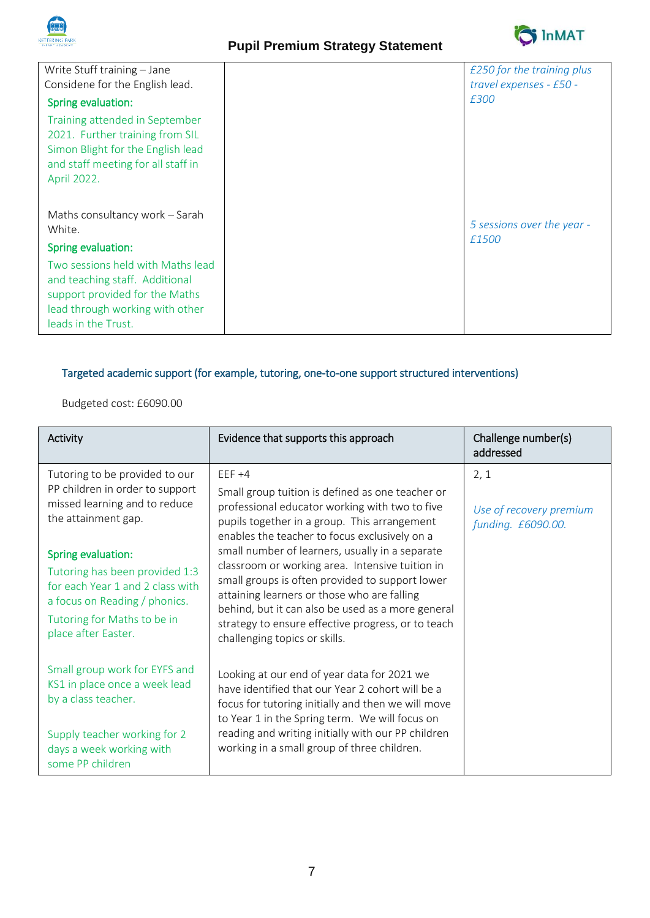



| Write Stuff training - Jane                                                                                                                                     | £250 for the training plus          |
|-----------------------------------------------------------------------------------------------------------------------------------------------------------------|-------------------------------------|
| Considene for the English lead.                                                                                                                                 | travel expenses - £50 -             |
| Spring evaluation:                                                                                                                                              | £300                                |
| Training attended in September<br>2021. Further training from SIL<br>Simon Blight for the English lead<br>and staff meeting for all staff in<br>April 2022.     |                                     |
| Maths consultancy work - Sarah<br>White.<br>Spring evaluation:                                                                                                  | 5 sessions over the year -<br>£1500 |
| Two sessions held with Maths lead<br>and teaching staff. Additional<br>support provided for the Maths<br>lead through working with other<br>leads in the Trust. |                                     |

# Targeted academic support (for example, tutoring, one-to-one support structured interventions)

# Budgeted cost: £6090.00

| Activity                                                                                                                                                  | Evidence that supports this approach                                                                                                                                                                                                                                                          | Challenge number(s)<br>addressed                      |
|-----------------------------------------------------------------------------------------------------------------------------------------------------------|-----------------------------------------------------------------------------------------------------------------------------------------------------------------------------------------------------------------------------------------------------------------------------------------------|-------------------------------------------------------|
| Tutoring to be provided to our<br>PP children in order to support<br>missed learning and to reduce<br>the attainment gap.<br>Spring evaluation:           | $EEF +4$<br>Small group tuition is defined as one teacher or<br>professional educator working with two to five<br>pupils together in a group. This arrangement<br>enables the teacher to focus exclusively on a<br>small number of learners, usually in a separate                            | 2, 1<br>Use of recovery premium<br>funding. £6090.00. |
| Tutoring has been provided 1:3<br>for each Year 1 and 2 class with<br>a focus on Reading / phonics.<br>Tutoring for Maths to be in<br>place after Easter. | classroom or working area. Intensive tuition in<br>small groups is often provided to support lower<br>attaining learners or those who are falling<br>behind, but it can also be used as a more general<br>strategy to ensure effective progress, or to teach<br>challenging topics or skills. |                                                       |
| Small group work for EYFS and<br>KS1 in place once a week lead<br>by a class teacher.                                                                     | Looking at our end of year data for 2021 we<br>have identified that our Year 2 cohort will be a<br>focus for tutoring initially and then we will move<br>to Year 1 in the Spring term. We will focus on                                                                                       |                                                       |
| Supply teacher working for 2<br>days a week working with<br>some PP children                                                                              | reading and writing initially with our PP children<br>working in a small group of three children.                                                                                                                                                                                             |                                                       |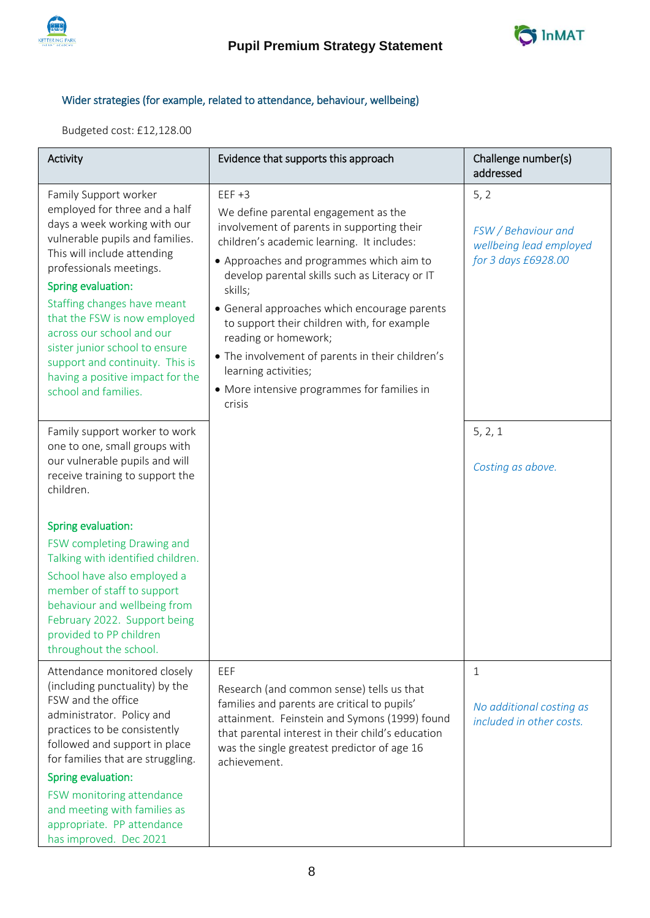



# Wider strategies (for example, related to attendance, behaviour, wellbeing)

Budgeted cost: £12,128.00

| Activity                                                                                                                                                                                                                                                                                                                                                                                                                               | Evidence that supports this approach                                                                                                                                                                                                                                                                                                                                                                                                                                                                              | Challenge number(s)<br>addressed                                              |
|----------------------------------------------------------------------------------------------------------------------------------------------------------------------------------------------------------------------------------------------------------------------------------------------------------------------------------------------------------------------------------------------------------------------------------------|-------------------------------------------------------------------------------------------------------------------------------------------------------------------------------------------------------------------------------------------------------------------------------------------------------------------------------------------------------------------------------------------------------------------------------------------------------------------------------------------------------------------|-------------------------------------------------------------------------------|
| Family Support worker<br>employed for three and a half<br>days a week working with our<br>vulnerable pupils and families.<br>This will include attending<br>professionals meetings.<br>Spring evaluation:<br>Staffing changes have meant<br>that the FSW is now employed<br>across our school and our<br>sister junior school to ensure<br>support and continuity. This is<br>having a positive impact for the<br>school and families. | $EEF +3$<br>We define parental engagement as the<br>involvement of parents in supporting their<br>children's academic learning. It includes:<br>• Approaches and programmes which aim to<br>develop parental skills such as Literacy or IT<br>skills;<br>• General approaches which encourage parents<br>to support their children with, for example<br>reading or homework;<br>• The involvement of parents in their children's<br>learning activities;<br>• More intensive programmes for families in<br>crisis | 5, 2<br>FSW / Behaviour and<br>wellbeing lead employed<br>for 3 days £6928.00 |
| Family support worker to work<br>one to one, small groups with<br>our vulnerable pupils and will<br>receive training to support the<br>children.<br>Spring evaluation:<br>FSW completing Drawing and<br>Talking with identified children.<br>School have also employed a<br>member of staff to support<br>behaviour and wellbeing from<br>February 2022. Support being<br>provided to PP children<br>throughout the school.            |                                                                                                                                                                                                                                                                                                                                                                                                                                                                                                                   | 5, 2, 1<br>Costing as above.                                                  |
| Attendance monitored closely<br>(including punctuality) by the<br>FSW and the office<br>administrator. Policy and<br>practices to be consistently<br>followed and support in place<br>for families that are struggling.<br>Spring evaluation:<br>FSW monitoring attendance<br>and meeting with families as<br>appropriate. PP attendance<br>has improved. Dec 2021                                                                     | EEF<br>Research (and common sense) tells us that<br>families and parents are critical to pupils'<br>attainment. Feinstein and Symons (1999) found<br>that parental interest in their child's education<br>was the single greatest predictor of age 16<br>achievement.                                                                                                                                                                                                                                             | 1<br>No additional costing as<br>included in other costs.                     |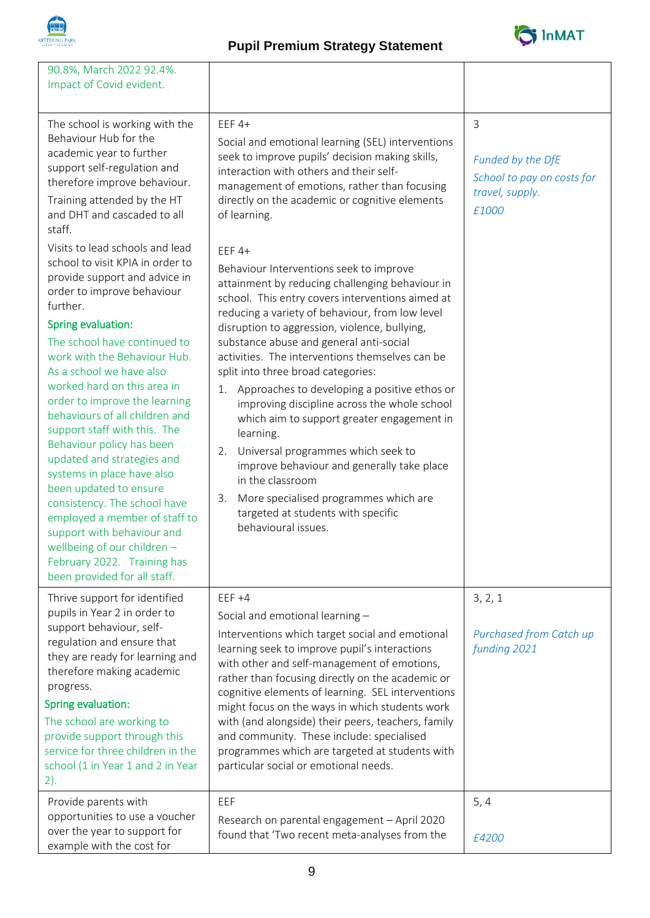

# **Pupil Premium Strategy Statement**



| 90.8%, March 2022 92.4%.<br>Impact of Covid evident.                                                                                                                                                                                                                                                                                                                                                                                                                                                                                                                                                                                                                                                               |                                                                                                                                                                                                                                                                                                                                                                                                                                                                                                                                                                                                                                                                                                                                                                                            |                                                                                               |
|--------------------------------------------------------------------------------------------------------------------------------------------------------------------------------------------------------------------------------------------------------------------------------------------------------------------------------------------------------------------------------------------------------------------------------------------------------------------------------------------------------------------------------------------------------------------------------------------------------------------------------------------------------------------------------------------------------------------|--------------------------------------------------------------------------------------------------------------------------------------------------------------------------------------------------------------------------------------------------------------------------------------------------------------------------------------------------------------------------------------------------------------------------------------------------------------------------------------------------------------------------------------------------------------------------------------------------------------------------------------------------------------------------------------------------------------------------------------------------------------------------------------------|-----------------------------------------------------------------------------------------------|
| The school is working with the<br>Behaviour Hub for the<br>academic year to further<br>support self-regulation and<br>therefore improve behaviour.<br>Training attended by the HT<br>and DHT and cascaded to all<br>staff.                                                                                                                                                                                                                                                                                                                                                                                                                                                                                         | $EEF$ 4+<br>Social and emotional learning (SEL) interventions<br>seek to improve pupils' decision making skills,<br>interaction with others and their self-<br>management of emotions, rather than focusing<br>directly on the academic or cognitive elements<br>of learning.                                                                                                                                                                                                                                                                                                                                                                                                                                                                                                              | $\overline{3}$<br>Funded by the DfE<br>School to pay on costs for<br>travel, supply.<br>£1000 |
| Visits to lead schools and lead<br>school to visit KPIA in order to<br>provide support and advice in<br>order to improve behaviour<br>further.<br>Spring evaluation:<br>The school have continued to<br>work with the Behaviour Hub.<br>As a school we have also<br>worked hard on this area in<br>order to improve the learning<br>behaviours of all children and<br>support staff with this. The<br>Behaviour policy has been<br>updated and strategies and<br>systems in place have also<br>been updated to ensure<br>consistency. The school have<br>employed a member of staff to<br>support with behaviour and<br>wellbeing of our children -<br>February 2022. Training has<br>been provided for all staff. | $EEF$ 4+<br>Behaviour Interventions seek to improve<br>attainment by reducing challenging behaviour in<br>school. This entry covers interventions aimed at<br>reducing a variety of behaviour, from low level<br>disruption to aggression, violence, bullying,<br>substance abuse and general anti-social<br>activities. The interventions themselves can be<br>split into three broad categories:<br>Approaches to developing a positive ethos or<br>1.<br>improving discipline across the whole school<br>which aim to support greater engagement in<br>learning.<br>Universal programmes which seek to<br>2.<br>improve behaviour and generally take place<br>in the classroom<br>3. More specialised programmes which are<br>targeted at students with specific<br>behavioural issues. |                                                                                               |
| Thrive support for identified<br>pupils in Year 2 in order to<br>support behaviour, self-<br>regulation and ensure that<br>they are ready for learning and<br>therefore making academic<br>progress.<br>Spring evaluation:<br>The school are working to<br>provide support through this<br>service for three children in the<br>school (1 in Year 1 and 2 in Year<br>2).                                                                                                                                                                                                                                                                                                                                           | $EEF +4$<br>Social and emotional learning -<br>Interventions which target social and emotional<br>learning seek to improve pupil's interactions<br>with other and self-management of emotions,<br>rather than focusing directly on the academic or<br>cognitive elements of learning. SEL interventions<br>might focus on the ways in which students work<br>with (and alongside) their peers, teachers, family<br>and community. These include: specialised<br>programmes which are targeted at students with<br>particular social or emotional needs.<br>EEF                                                                                                                                                                                                                             | 3, 2, 1<br>Purchased from Catch up<br>funding 2021                                            |
| Provide parents with<br>opportunities to use a voucher<br>over the year to support for<br>example with the cost for                                                                                                                                                                                                                                                                                                                                                                                                                                                                                                                                                                                                | Research on parental engagement - April 2020<br>found that 'Two recent meta-analyses from the                                                                                                                                                                                                                                                                                                                                                                                                                                                                                                                                                                                                                                                                                              | 5, 4<br>£4200                                                                                 |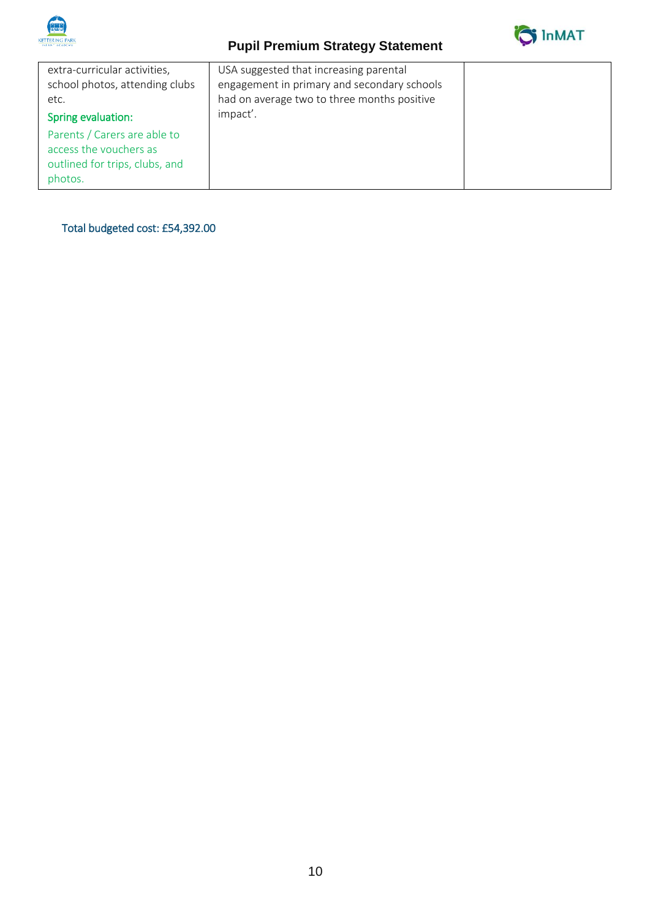

# **Pupil Premium Strategy Statement**



| extra-curricular activities,<br>school photos, attending clubs<br>etc.<br>Spring evaluation:        | USA suggested that increasing parental<br>engagement in primary and secondary schools<br>had on average two to three months positive<br>impact'. |  |
|-----------------------------------------------------------------------------------------------------|--------------------------------------------------------------------------------------------------------------------------------------------------|--|
| Parents / Carers are able to<br>access the vouchers as<br>outlined for trips, clubs, and<br>photos. |                                                                                                                                                  |  |

Total budgeted cost: £54,392.00